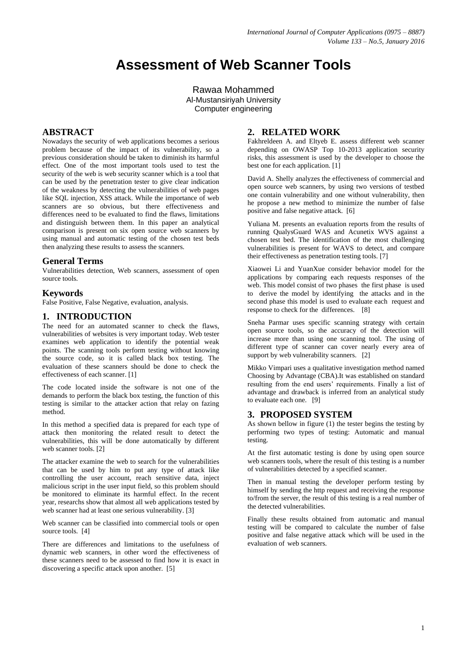# **Assessment of Web Scanner Tools**

Rawaa Mohammed Al-Mustansiriyah University Computer engineering

## **ABSTRACT**

Nowadays the security of web applications becomes a serious problem because of the impact of its vulnerability, so a previous consideration should be taken to diminish its harmful effect. One of the most important tools used to test the security of the web is web security scanner which is a tool that can be used by the penetration tester to give clear indication of the weakness by detecting the vulnerabilities of web pages like SQL injection, XSS attack. While the importance of web scanners are so obvious, but there effectiveness and differences need to be evaluated to find the flaws, limitations and distinguish between them. In this paper an analytical comparison is present on six open source web scanners by using manual and automatic testing of the chosen test beds then analyzing these results to assess the scanners.

## **General Terms**

Vulnerabilities detection, Web scanners, assessment of open source tools.

## **Keywords**

False Positive, False Negative, evaluation, analysis.

# **1. INTRODUCTION**

The need for an automated scanner to check the flaws, vulnerabilities of websites is very important today. Web tester examines web application to identify the potential weak points. The scanning tools perform testing without knowing the source code, so it is called black box testing. The evaluation of these scanners should be done to check the effectiveness of each scanner. [1]

The code located inside the software is not one of the demands to perform the black box testing, the function of this testing is similar to the attacker action that relay on fazing method.

In this method a specified data is prepared for each type of attack then monitoring the related result to detect the vulnerabilities, this will be done automatically by different web scanner tools. [2]

The attacker examine the web to search for the vulnerabilities that can be used by him to put any type of attack like controlling the user account, reach sensitive data, inject malicious script in the user input field, so this problem should be monitored to eliminate its harmful effect. In the recent year, researchs show that almost all web applications tested by web scanner had at least one serious vulnerability. [3]

Web scanner can be classified into commercial tools or open source tools. [4]

There are differences and limitations to the usefulness of dynamic web scanners, in other word the effectiveness of these scanners need to be assessed to find how it is exact in discovering a specific attack upon another. [5]

# **2. RELATED WORK**

Fakhreldeen A. and Eltyeb E. assess different web scanner depending on OWASP Top 10-2013 application security risks, this assessment is used by the developer to choose the best one for each application. [1]

David A. Shelly analyzes the effectiveness of commercial and open source web scanners, by using two versions of testbed one contain vulnerability and one without vulnerability, then he propose a new method to minimize the number of false positive and false negative attack. [6]

Yuliana M. presents an evaluation reports from the results of running QualysGuard WAS and Acunetix WVS against a chosen test bed. The identification of the most challenging vulnerabilities is present for WAVS to detect, and compare their effectiveness as penetration testing tools. [7]

Xiaowei Li and YuanXue consider behavior model for the applications by comparing each requests responses of the web. This model consist of two phases the first phase is used to derive the model by identifying the attacks and in the second phase this model is used to evaluate each request and response to check for the differences. [8]

Sneha Parmar uses specific scanning strategy with certain open source tools, so the accuracy of the detection will increase more than using one scanning tool. The using of different type of scanner can cover nearly every area of support by web vulnerability scanners. [2]

Mikko Vimpari uses a qualitative investigation method named Choosing by Advantage (CBA).It was established on standard resulting from the end users' requirements. Finally a list of advantage and drawback is inferred from an analytical study to evaluate each one. [9]

## **3. PROPOSED SYSTEM**

As shown bellow in figure (1) the tester begins the testing by performing two types of testing: Automatic and manual testing.

At the first automatic testing is done by using open source web scanners tools, where the result of this testing is a number of vulnerabilities detected by a specified scanner.

Then in manual testing the developer perform testing by himself by sending the http request and receiving the response to/from the server, the result of this testing is a real number of the detected vulnerabilities.

Finally these results obtained from automatic and manual testing will be compared to calculate the number of false positive and false negative attack which will be used in the evaluation of web scanners.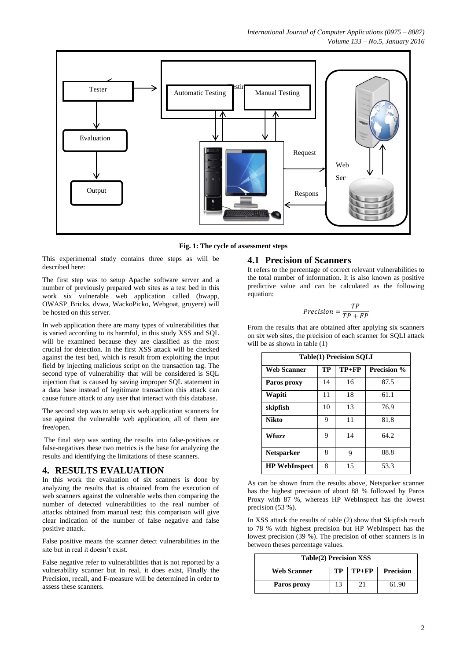*International Journal of Computer Applications (0975 – 8887) Volume 133 – No.5, January 2016*



**Fig. 1: The cycle of assessment steps**

This experimental study contains three steps as will be described here:

The first step was to setup Apache software server and a number of previously prepared web sites as a test bed in this work six vulnerable web application called (bwapp, OWASP\_Bricks, dvwa, WackoPicko, Webgoat, gruyere) will be hosted on this server.

In web application there are many types of vulnerabilities that is varied according to its harmful, in this study XSS and SQL will be examined because they are classified as the most crucial for detection. In the first XSS attack will be checked against the test bed, which is result from exploiting the input field by injecting malicious script on the transaction tag. The second type of vulnerability that will be considered is SQL injection that is caused by saving improper SQL statement in a data base instead of legitimate transaction this attack can cause future attack to any user that interact with this database.

The second step was to setup six web application scanners for use against the vulnerable web application, all of them are free/open.

The final step was sorting the results into false-positives or false-negatives these two metrics is the base for analyzing the results and identifying the limitations of these scanners.

#### **4. RESULTS EVALUATION**

In this work the evaluation of six scanners is done by analyzing the results that is obtained from the execution of web scanners against the vulnerable webs then comparing the number of detected vulnerabilities to the real number of attacks obtained from manual test; this comparison will give clear indication of the number of false negative and false positive attack.

False positive means the scanner detect vulnerabilities in the site but in real it doesn't exist.

False negative refer to vulnerabilities that is not reported by a vulnerability scanner but in real, it does exist, Finally the Precision, recall, and F-measure will be determined in order to assess these scanners.

### **4.1 Precision of Scanners**

It refers to the percentage of correct relevant vulnerabilities to the total number of information. It is also known as positive predictive value and can be calculated as the following equation:

$$
Precision = \frac{TP}{TP + FP}
$$

From the results that are obtained after applying six scanners on six web sites, the precision of each scanner for SQLI attack will be as shown in table  $(1)$ 

| <b>Table(1) Precision SQLI</b> |    |         |                    |  |  |  |
|--------------------------------|----|---------|--------------------|--|--|--|
| <b>Web Scanner</b>             | TP | $TP+FP$ | <b>Precision %</b> |  |  |  |
| Paros proxy                    | 14 | 16      | 87.5               |  |  |  |
| Wapiti                         | 11 | 18      | 61.1               |  |  |  |
| skipfish                       | 10 | 13      | 76.9               |  |  |  |
| <b>Nikto</b>                   | 9  | 11      | 81.8               |  |  |  |
| Wfuzz                          | 9  | 14      | 64.2               |  |  |  |
| <b>Netsparker</b>              | 8  | 9       | 88.8               |  |  |  |
| <b>HP</b> WebInspect           | 8  | 15      | 53.3               |  |  |  |

As can be shown from the results above, Netsparker scanner has the highest precision of about 88 % followed by Paros Proxy with 87 %, whereas [HP WebInspect](http://sectools.org/tool/webinspect/) has the lowest precision (53 %).

In XSS attack the results of table (2) show that Skipfish reach to 78 % with highest precision but [HP WebInspect](http://sectools.org/tool/webinspect/) has the lowest precision (39 %). The precision of other scanners is in between theses percentage values.

| Table(2) Precision XSS |    |         |                  |  |  |
|------------------------|----|---------|------------------|--|--|
| <b>Web Scanner</b>     | TР | $TP+FP$ | <b>Precision</b> |  |  |
| Paros proxy            | 13 | 21      | 61.90            |  |  |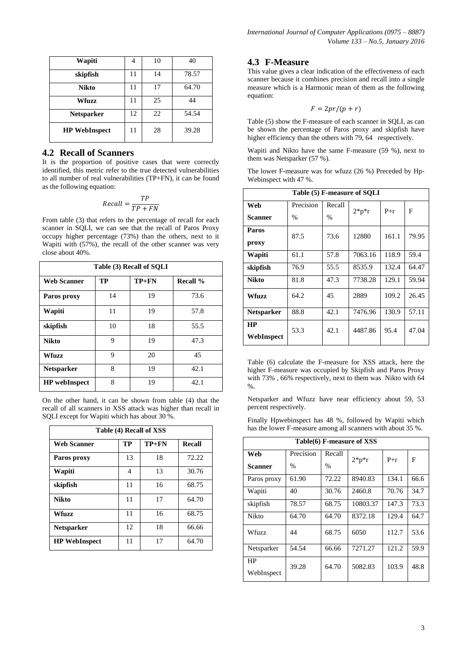| Wapiti               |    | 10 | 40    |
|----------------------|----|----|-------|
| skipfish             | 11 | 14 | 78.57 |
| <b>Nikto</b>         | 11 | 17 | 64.70 |
| Wfuzz                | 11 | 25 | 44    |
| <b>Netsparker</b>    | 12 | 22 | 54.54 |
| <b>HP</b> WebInspect | 11 | 28 | 39.28 |

## **4.2 Recall of Scanners**

It is the proportion of positive cases that were correctly identified, this metric refer to the true detected vulnerabilities to all number of real vulnerabilities (TP+FN), it can be found as the following equation:

$$
Recall = \frac{TP}{TP + FN}
$$

From table (3) that refers to the percentage of recall for each scanner in SQLI, we can see that the recall of Paros Proxy occupy higher percentage (73%) than the others, next to it Wapiti with (57%), the recall of the other scanner was very close about 40%.

| Table (3) Recall of SOLI |    |         |                 |  |  |  |
|--------------------------|----|---------|-----------------|--|--|--|
| <b>Web Scanner</b>       | TP | $TP+FN$ | <b>Recall %</b> |  |  |  |
| Paros proxy              | 14 | 19      | 73.6            |  |  |  |
| Wapiti                   | 11 | 19      | 57.8            |  |  |  |
| skipfish                 | 10 | 18      | 55.5            |  |  |  |
| <b>Nikto</b>             | 9  | 19      | 47.3            |  |  |  |
| Wfuzz                    | 9  | 20      | 45              |  |  |  |
| <b>Netsparker</b>        | 8  | 19      | 42.1            |  |  |  |
| <b>HP</b> webInspect     | 8  | 19      | 42.1            |  |  |  |

On the other hand, it can be shown from table (4) that the recall of all scanners in XSS attack was higher than recall in SQLI except for Wapiti which has about 30 %.

| Table (4) Recall of XSS |    |         |        |  |  |  |
|-------------------------|----|---------|--------|--|--|--|
| <b>Web Scanner</b>      | TP | $TP+FN$ | Recall |  |  |  |
| Paros proxy             | 13 | 18      | 72.22  |  |  |  |
| Wapiti                  | 4  | 13      | 30.76  |  |  |  |
| skipfish                | 11 | 16      | 68.75  |  |  |  |
| <b>Nikto</b>            | 11 | 17      | 64.70  |  |  |  |
| <b>Wfuzz</b>            | 11 | 16      | 68.75  |  |  |  |
| <b>Netsparker</b>       | 12 | 18      | 66.66  |  |  |  |
| <b>HP WebInspect</b>    | 11 | 17      | 64.70  |  |  |  |

## **4.3 F-Measure**

This value gives a clear indication of the effectiveness of each scanner because it combines precision and recall into a single measure which is a Harmonic mean of them as the following equation:

$$
F = 2pr/(p+r)
$$

Table (5) show the F-measure of each scanner in SQLI, as can be shown the percentage of Paros proxy and skipfish have higher efficiency than the others with 79, 64 respectively.

Wapiti and Nikto have the same F-measure (59 %), next to them was Netsparker (57 %).

The lower F-measure was for wfuzz (26 %) Preceded by Hp-Webinspect with 47 %.

| Table (5) F-measure of SOLI |               |               |           |       |       |  |
|-----------------------------|---------------|---------------|-----------|-------|-------|--|
| Web                         | Precision     | Recall        | $2^*p^*r$ | $P+r$ | F     |  |
| Scanner                     | $\frac{0}{0}$ | $\frac{0}{0}$ |           |       |       |  |
| Paros                       | 87.5          | 73.6          | 12880     | 161.1 | 79.95 |  |
| proxy                       |               |               |           |       |       |  |
| Wapiti                      | 61.1          | 57.8          | 7063.16   | 118.9 | 59.4  |  |
| skipfish                    | 76.9          | 55.5          | 8535.9    | 132.4 | 64.47 |  |
| <b>Nikto</b>                | 81.8          | 47.3          | 7738.28   | 129.1 | 59.94 |  |
| Wfuzz                       | 64.2          | 45            | 2889      | 109.2 | 26.45 |  |
| <b>Netsparker</b>           | 88.8          | 42.1          | 7476.96   | 130.9 | 57.11 |  |
| HP<br>WebInspect            | 53.3          | 42.1          | 4487.86   | 95.4  | 47.04 |  |

Table (6) calculate the F-measure for XSS attack, here the higher F-measure was occupied by Skipfish and Paros Proxy with 73% , 66% respectively, next to them was Nikto with 64  $0/2$ 

Netsparker and Wfuzz have near efficiency about 59, 53 percent respectively.

Finally Hpwebinspect has 48 %, followed by Wapiti which has the lower F-measure among all scanners with about 35 %.

| Table(6) F-measure of XSS |           |               |           |       |      |  |
|---------------------------|-----------|---------------|-----------|-------|------|--|
| Web                       | Precision | Recall        | $2^*p^*r$ | $P+r$ | F    |  |
| Scanner                   | $\%$      | $\frac{0}{0}$ |           |       |      |  |
| Paros proxy               | 61.90     | 72.22         | 8940.83   | 134.1 | 66.6 |  |
| Wapiti                    | 40        | 30.76         | 2460.8    | 70.76 | 34.7 |  |
| skipfish                  | 78.57     | 68.75         | 10803.37  | 147.3 | 73.3 |  |
| <b>Nikto</b>              | 64.70     | 64.70         | 8372.18   | 129.4 | 64.7 |  |
| Wfuzz                     | 44        | 68.75         | 6050      | 112.7 | 53.6 |  |
| Netsparker                | 54.54     | 66.66         | 7271.27   | 121.2 | 59.9 |  |
| HP<br>WebInspect          | 39.28     | 64.70         | 5082.83   | 103.9 | 48.8 |  |